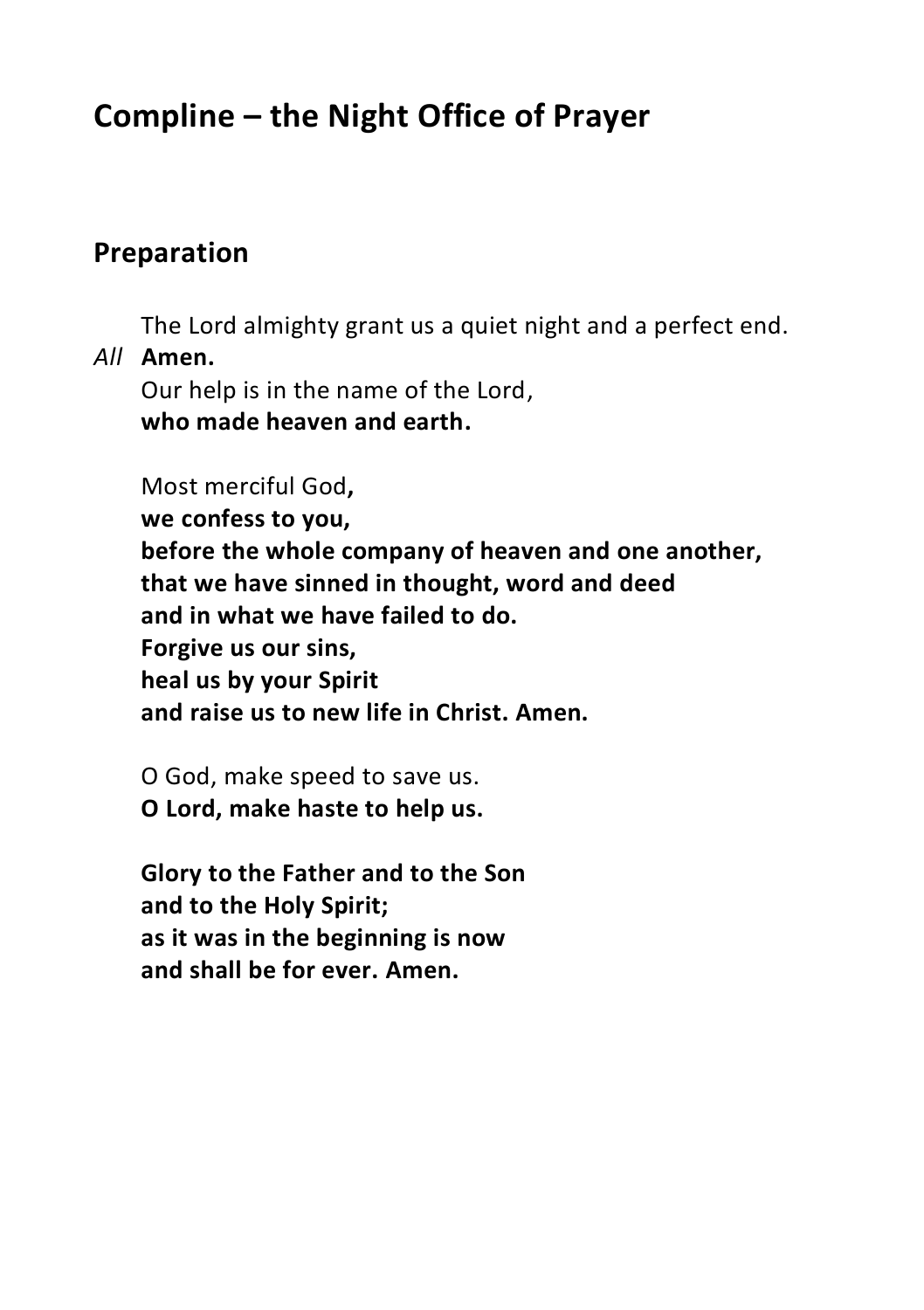# **Compline – the Night Office of Prayer**

## **Preparation**

The Lord almighty grant us a quiet night and a perfect end.

#### *All* **Amen.**

Our help is in the name of the Lord, **who made heaven and earth.**

#### Most merciful God**,**

**we confess to you, before the whole company of heaven and one another, that we have sinned in thought, word and deed and in what we have failed to do. Forgive us our sins, heal us by your Spirit and raise us to new life in Christ. Amen.**

O God, make speed to save us. **O Lord, make haste to help us.**

**Glory to the Father and to the Son and to the Holy Spirit; as it was in the beginning is now and shall be for ever. Amen.**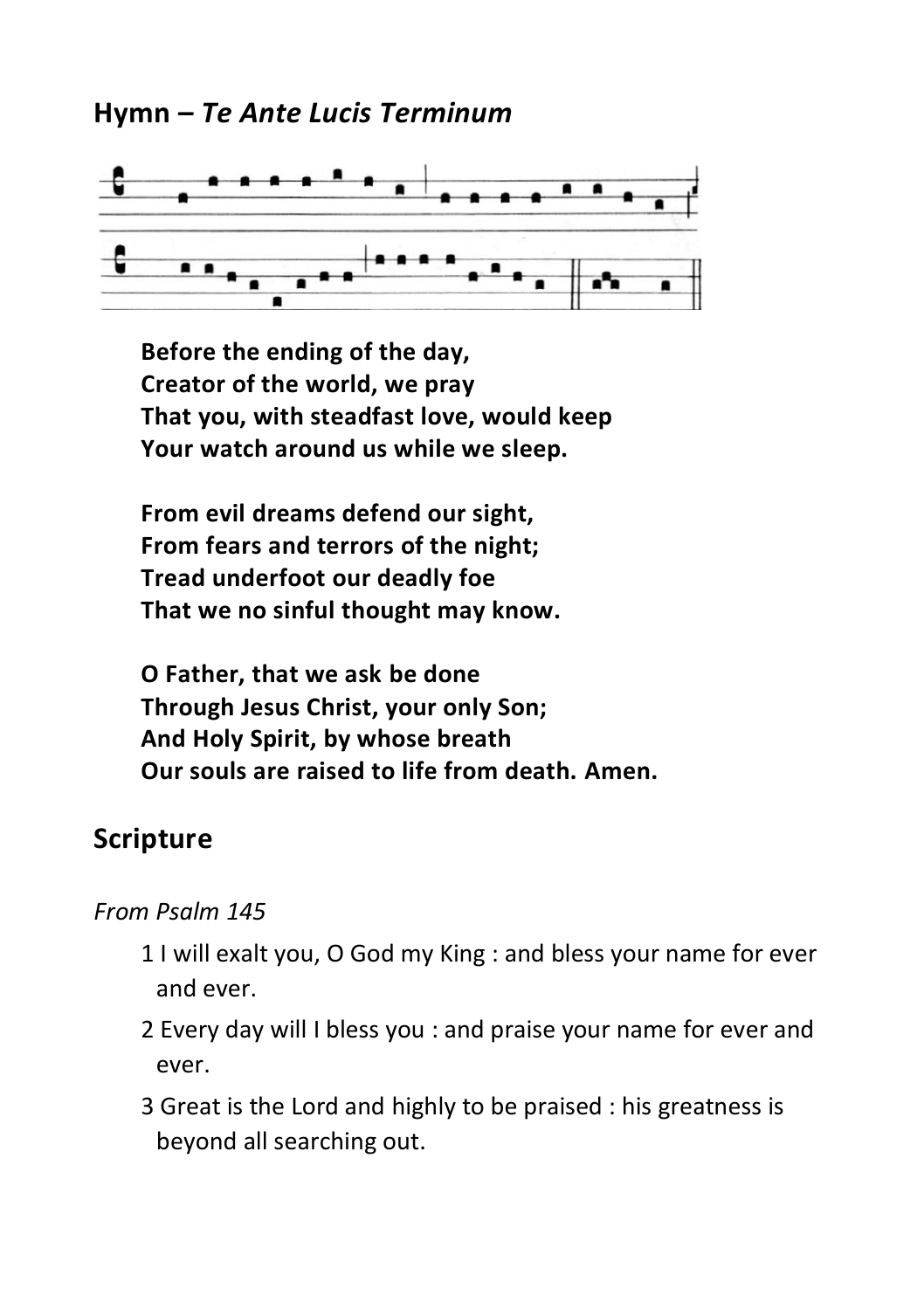## **Hymn –** *Te Ante Lucis Terminum*



**Before the ending of the day, Creator of the world, we pray That you, with steadfast love, would keep Your watch around us while we sleep.**

**From evil dreams defend our sight, From fears and terrors of the night; Tread underfoot our deadly foe That we no sinful thought may know.**

**O Father, that we ask be done Through Jesus Christ, your only Son; And Holy Spirit, by whose breath Our souls are raised to life from death. Amen.** 

# **Scripture**

### *From Psalm 145*

- 1 I will exalt you, O God my King : and bless your name for ever and ever.
- 2 Every day will I bless you : and praise your name for ever and ever.
- 3 Great is the Lord and highly to be praised : his greatness is beyond all searching out.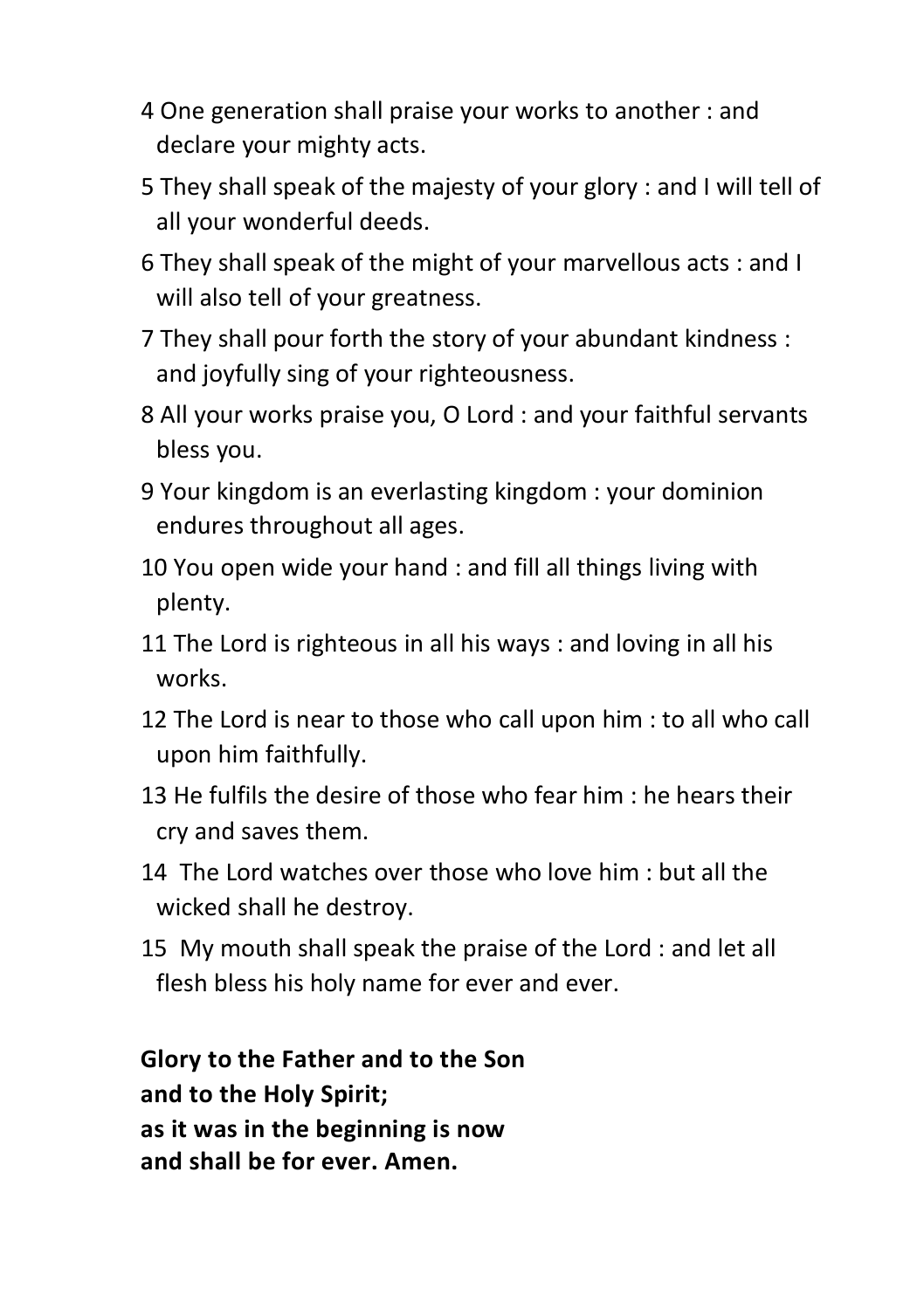- 4 One generation shall praise your works to another : and declare your mighty acts.
- 5 They shall speak of the majesty of your glory : and I will tell of all your wonderful deeds.
- 6 They shall speak of the might of your marvellous acts : and I will also tell of your greatness.
- 7 They shall pour forth the story of your abundant kindness : and joyfully sing of your righteousness.
- 8 All your works praise you, O Lord : and your faithful servants bless you.
- 9 Your kingdom is an everlasting kingdom : your dominion endures throughout all ages.
- 10 You open wide your hand : and fill all things living with plenty.
- 11 The Lord is righteous in all his ways : and loving in all his works.
- 12 The Lord is near to those who call upon him : to all who call upon him faithfully.
- 13 He fulfils the desire of those who fear him : he hears their cry and saves them.
- 14 The Lord watches over those who love him : but all the wicked shall he destroy.
- 15 My mouth shall speak the praise of the Lord : and let all flesh bless his holy name for ever and ever.

**Glory to the Father and to the Son and to the Holy Spirit; as it was in the beginning is now and shall be for ever. Amen.**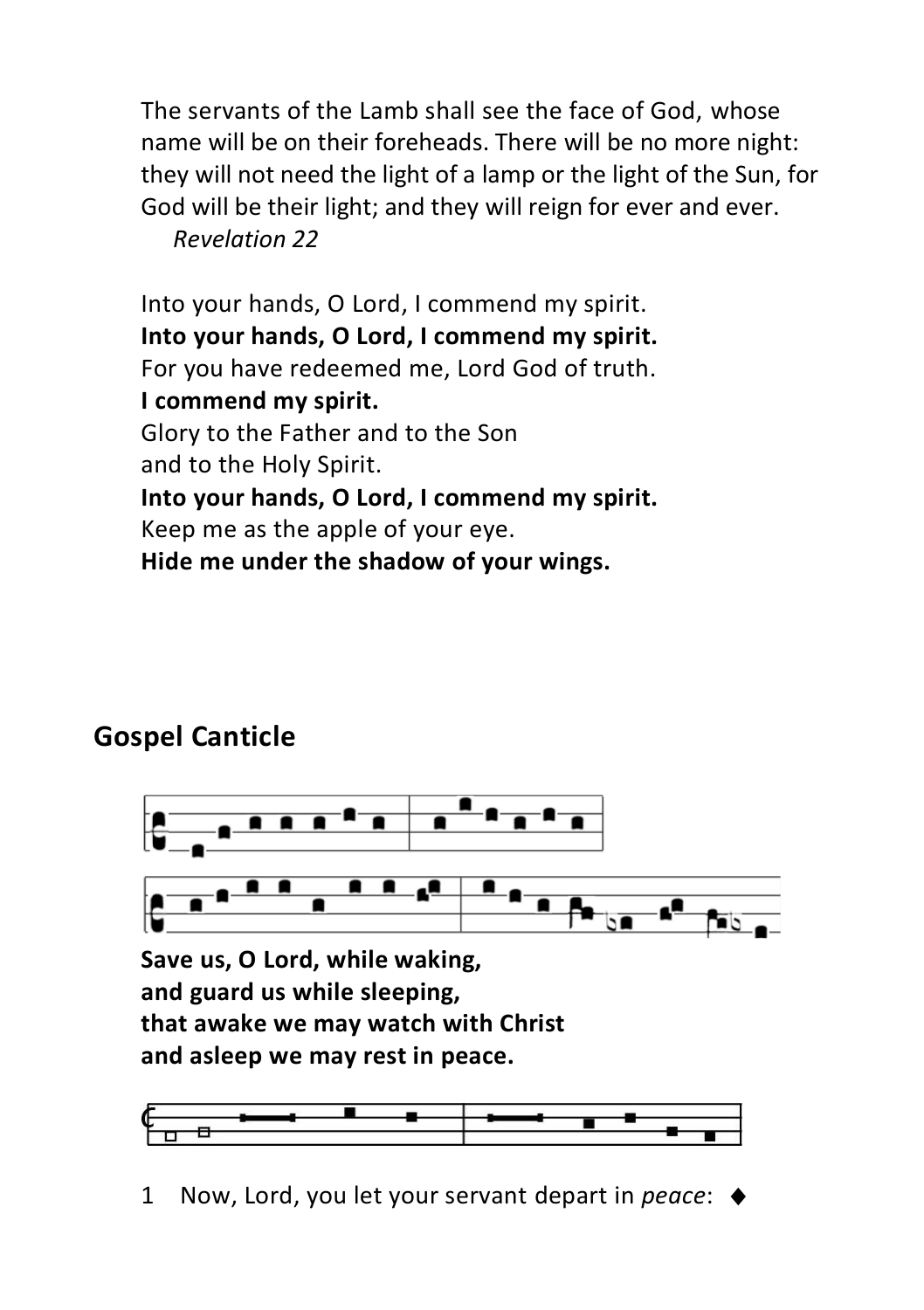The servants of the Lamb shall see the face of God, whose name will be on their foreheads. There will be no more night: they will not need the light of a lamp or the light of the Sun, for God will be their light; and they will reign for ever and ever. *Revelation 22*

Into your hands, O Lord, I commend my spirit. **Into your hands, O Lord, I commend my spirit.** For you have redeemed me, Lord God of truth. **I commend my spirit.** Glory to the Father and to the Son and to the Holy Spirit. **Into your hands, O Lord, I commend my spirit.** Keep me as the apple of your eye. **Hide me under the shadow of your wings.**

# **Gospel Canticle**





1 Now, Lord, you let your servant depart in *peace*: ♦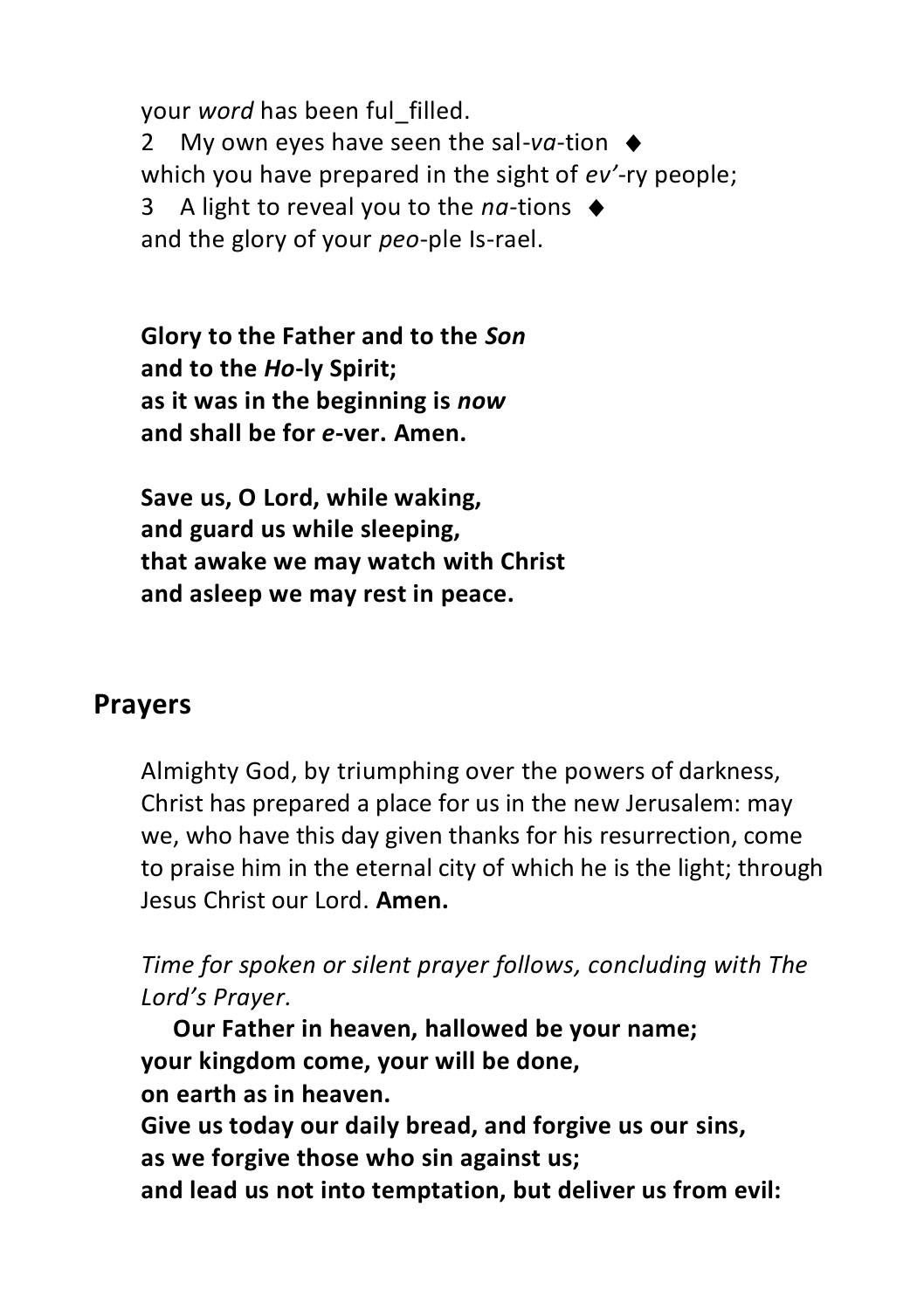your *word* has been ful\_filled. 2 My own eyes have seen the sal-va-tion  $\triangle$ which you have prepared in the sight of *ev'*-ry people; 3 A light to reveal you to the *na*-tions ♦ and the glory of your *peo*-ple Is-rael.

**Glory to the Father and to the** *Son* **and to the** *Ho***-ly Spirit; as it was in the beginning is** *now* **and shall be for** *e***-ver. Amen.**

**Save us, O Lord, while waking, and guard us while sleeping, that awake we may watch with Christ and asleep we may rest in peace.**

### **Prayers**

Almighty God, by triumphing over the powers of darkness, Christ has prepared a place for us in the new Jerusalem: may we, who have this day given thanks for his resurrection, come to praise him in the eternal city of which he is the light; through Jesus Christ our Lord. **Amen.**

*Time for spoken or silent prayer follows, concluding with The Lord's Prayer.*

**Our Father in heaven, hallowed be your name; your kingdom come, your will be done, on earth as in heaven. Give us today our daily bread, and forgive us our sins, as we forgive those who sin against us; and lead us not into temptation, but deliver us from evil:**